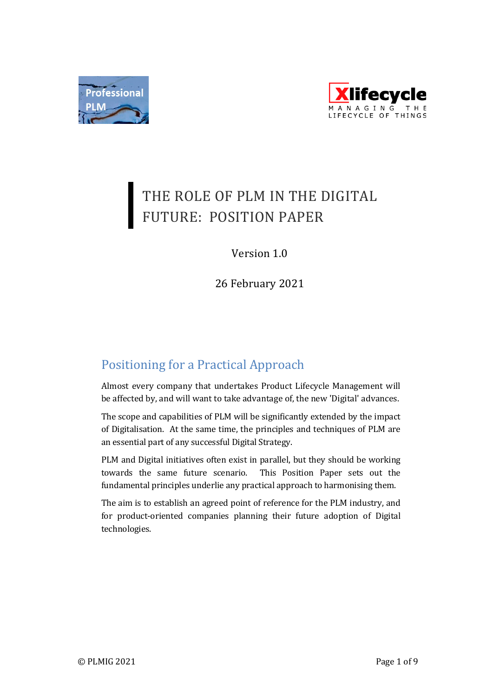



# THE ROLE OF PLM IN THE DIGITAL FUTURE: POSITION PAPER

# Version 1.0

26 February 2021

# Positioning for a Practical Approach

Almost every company that undertakes Product Lifecycle Management will be affected by, and will want to take advantage of, the new 'Digital' advances.

The scope and capabilities of PLM will be significantly extended by the impact of Digitalisation. At the same time, the principles and techniques of PLM are an essential part of any successful Digital Strategy.

PLM and Digital initiatives often exist in parallel, but they should be working towards the same future scenario. This Position Paper sets out the fundamental principles underlie any practical approach to harmonising them.

The aim is to establish an agreed point of reference for the PLM industry, and for product-oriented companies planning their future adoption of Digital technologies.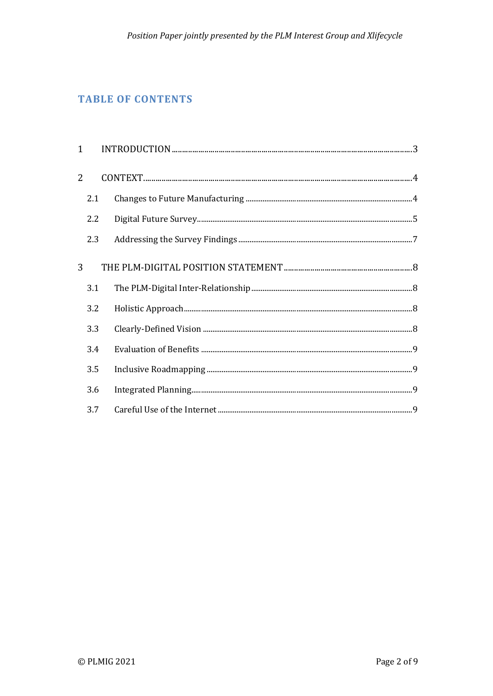# **TABLE OF CONTENTS**

|                | 2.1 |  |
|----------------|-----|--|
|                | 2.2 |  |
|                | 2.3 |  |
| $\overline{3}$ |     |  |
|                | 3.1 |  |
|                | 3.2 |  |
|                | 3.3 |  |
|                | 3.4 |  |
|                | 3.5 |  |
|                | 3.6 |  |
|                | 3.7 |  |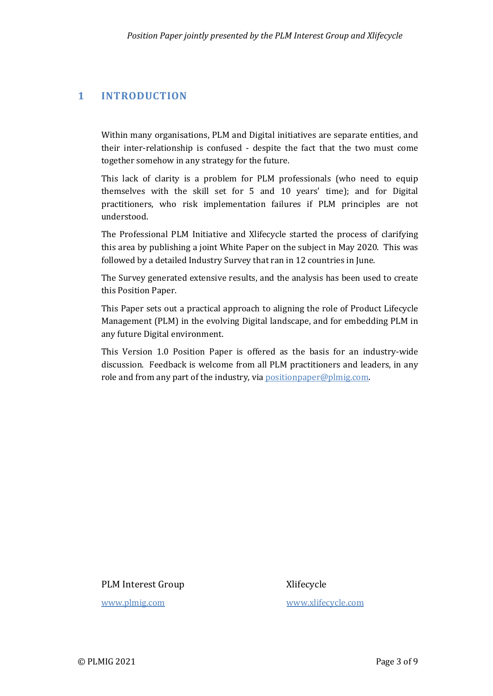# **1 INTRODUCTION**

Within many organisations, PLM and Digital initiatives are separate entities, and their inter-relationship is confused - despite the fact that the two must come together somehow in any strategy for the future.

This lack of clarity is a problem for PLM professionals (who need to equip themselves with the skill set for  $5$  and  $10$  years' time); and for Digital practitioners, who risk implementation failures if PLM principles are not understood.

The Professional PLM Initiative and Xlifecycle started the process of clarifying this area by publishing a joint White Paper on the subject in May 2020. This was followed by a detailed Industry Survey that ran in 12 countries in June.

The Survey generated extensive results, and the analysis has been used to create this Position Paper.

This Paper sets out a practical approach to aligning the role of Product Lifecycle Management (PLM) in the evolving Digital landscape, and for embedding PLM in any future Digital environment.

This Version 1.0 Position Paper is offered as the basis for an industry-wide discussion. Feedback is welcome from all PLM practitioners and leaders, in any role and from any part of the industry, via positionpaper@plmig.com.

PLM Interest Group Xlifecycle

www.plmig.com www.xlifecycle.com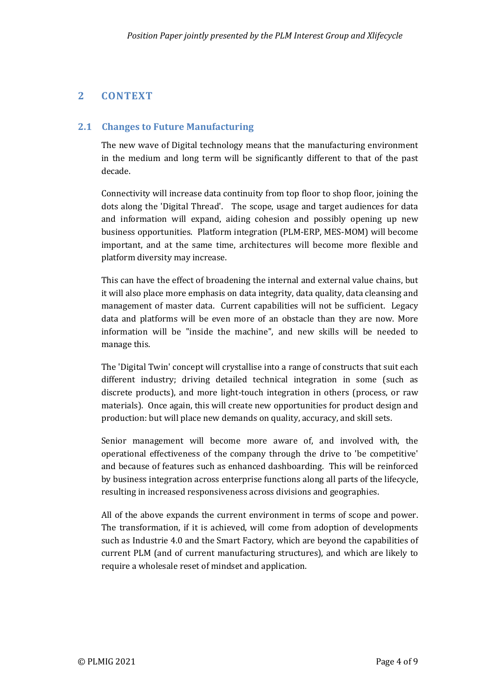# **2 CONTEXT**

#### **2.1 Changes to Future Manufacturing**

The new wave of Digital technology means that the manufacturing environment in the medium and long term will be significantly different to that of the past decade. 

Connectivity will increase data continuity from top floor to shop floor, joining the dots along the 'Digital Thread'. The scope, usage and target audiences for data and information will expand, aiding cohesion and possibly opening up new business opportunities. Platform integration (PLM-ERP, MES-MOM) will become important, and at the same time, architectures will become more flexible and platform diversity may increase.

This can have the effect of broadening the internal and external value chains, but it will also place more emphasis on data integrity, data quality, data cleansing and management of master data. Current capabilities will not be sufficient. Legacy data and platforms will be even more of an obstacle than they are now. More information will be "inside the machine", and new skills will be needed to manage this.

The 'Digital Twin' concept will crystallise into a range of constructs that suit each different industry; driving detailed technical integration in some (such as discrete products), and more light-touch integration in others (process, or raw materials). Once again, this will create new opportunities for product design and production: but will place new demands on quality, accuracy, and skill sets.

Senior management will become more aware of, and involved with, the operational effectiveness of the company through the drive to 'be competitive' and because of features such as enhanced dashboarding. This will be reinforced by business integration across enterprise functions along all parts of the lifecycle, resulting in increased responsiveness across divisions and geographies.

All of the above expands the current environment in terms of scope and power. The transformation, if it is achieved, will come from adoption of developments such as Industrie 4.0 and the Smart Factory, which are beyond the capabilities of current PLM (and of current manufacturing structures), and which are likely to require a wholesale reset of mindset and application.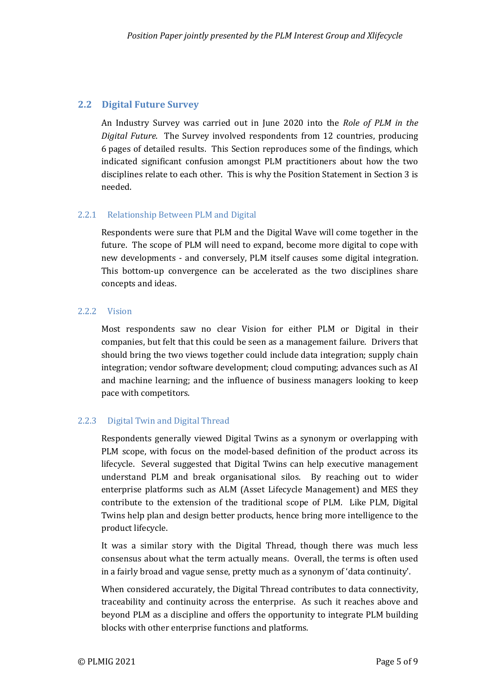### **2.2 Digital Future Survey**

An Industry Survey was carried out in June 2020 into the *Role of PLM* in the *Digital Future*. The Survey involved respondents from 12 countries, producing 6 pages of detailed results. This Section reproduces some of the findings, which indicated significant confusion amongst PLM practitioners about how the two disciplines relate to each other. This is why the Position Statement in Section 3 is needed.

#### 2.2.1 Relationship Between PLM and Digital

Respondents were sure that PLM and the Digital Wave will come together in the future. The scope of PLM will need to expand, become more digital to cope with new developments - and conversely, PLM itself causes some digital integration. This bottom-up convergence can be accelerated as the two disciplines share concepts and ideas.

#### 2.2.2 Vision

Most respondents saw no clear Vision for either PLM or Digital in their companies, but felt that this could be seen as a management failure. Drivers that should bring the two views together could include data integration; supply chain integration; vendor software development; cloud computing; advances such as AI and machine learning; and the influence of business managers looking to keep pace with competitors.

#### 2.2.3 Digital Twin and Digital Thread

Respondents generally viewed Digital Twins as a synonym or overlapping with PLM scope, with focus on the model-based definition of the product across its lifecycle. Several suggested that Digital Twins can help executive management understand PLM and break organisational silos. By reaching out to wider enterprise platforms such as ALM (Asset Lifecycle Management) and MES they contribute to the extension of the traditional scope of PLM. Like PLM, Digital Twins help plan and design better products, hence bring more intelligence to the product lifecycle.

It was a similar story with the Digital Thread, though there was much less consensus about what the term actually means. Overall, the terms is often used in a fairly broad and vague sense, pretty much as a synonym of 'data continuity'.

When considered accurately, the Digital Thread contributes to data connectivity, traceability and continuity across the enterprise. As such it reaches above and beyond PLM as a discipline and offers the opportunity to integrate PLM building blocks with other enterprise functions and platforms.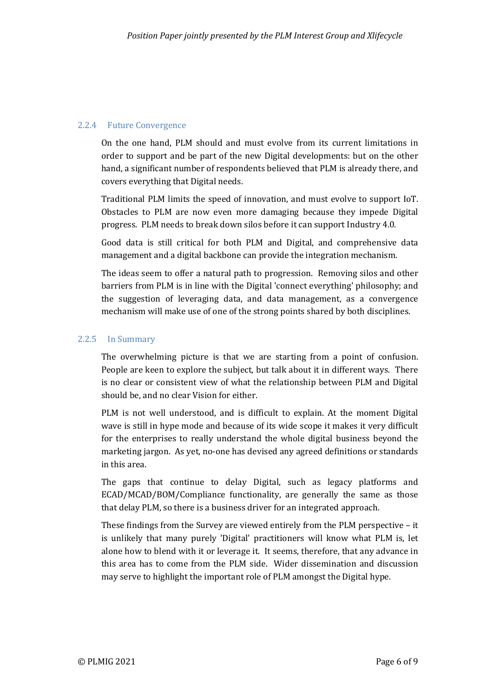#### 2.2.4 Future Convergence

On the one hand, PLM should and must evolve from its current limitations in order to support and be part of the new Digital developments: but on the other hand, a significant number of respondents believed that PLM is already there, and covers everything that Digital needs.

Traditional PLM limits the speed of innovation, and must evolve to support IoT. Obstacles to PLM are now even more damaging because they impede Digital progress. PLM needs to break down silos before it can support Industry 4.0.

Good data is still critical for both PLM and Digital, and comprehensive data management and a digital backbone can provide the integration mechanism.

The ideas seem to offer a natural path to progression. Removing silos and other barriers from PLM is in line with the Digital 'connect everything' philosophy; and the suggestion of leveraging data, and data management, as a convergence mechanism will make use of one of the strong points shared by both disciplines.

#### 2.2.5 In Summary

The overwhelming picture is that we are starting from a point of confusion. People are keen to explore the subject, but talk about it in different ways. There is no clear or consistent view of what the relationship between PLM and Digital should be, and no clear Vision for either.

PLM is not well understood, and is difficult to explain. At the moment Digital wave is still in hype mode and because of its wide scope it makes it very difficult for the enterprises to really understand the whole digital business beyond the marketing jargon. As yet, no-one has devised any agreed definitions or standards in this area.

The gaps that continue to delay Digital, such as legacy platforms and ECAD/MCAD/BOM/Compliance functionality, are generally the same as those that delay PLM, so there is a business driver for an integrated approach.

These findings from the Survey are viewed entirely from the PLM perspective  $-$  it is unlikely that many purely 'Digital' practitioners will know what PLM is, let alone how to blend with it or leverage it. It seems, therefore, that any advance in this area has to come from the PLM side. Wider dissemination and discussion may serve to highlight the important role of PLM amongst the Digital hype.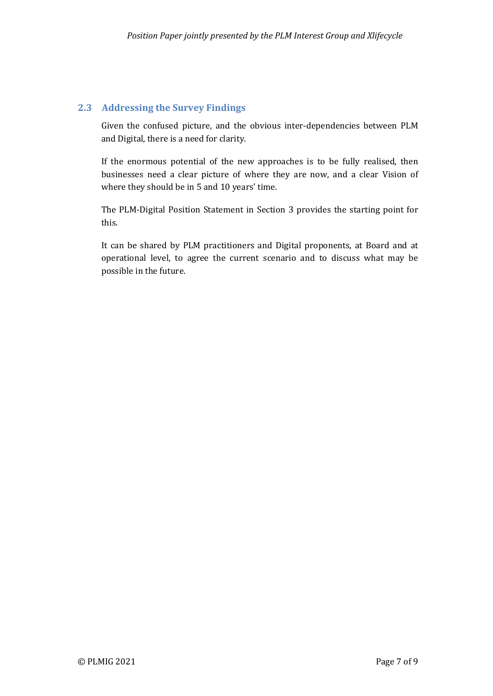## **2.3 Addressing the Survey Findings**

Given the confused picture, and the obvious inter-dependencies between PLM and Digital, there is a need for clarity.

If the enormous potential of the new approaches is to be fully realised, then businesses need a clear picture of where they are now, and a clear Vision of where they should be in 5 and 10 years' time.

The PLM-Digital Position Statement in Section 3 provides the starting point for this. 

It can be shared by PLM practitioners and Digital proponents, at Board and at operational level, to agree the current scenario and to discuss what may be possible in the future.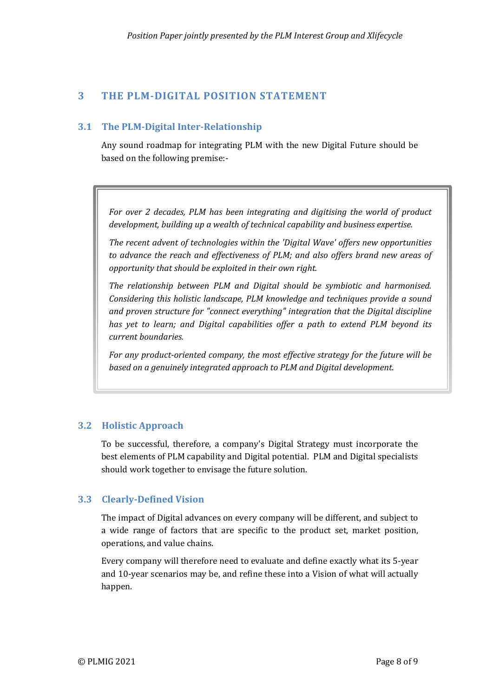# **3 THE PLM-DIGITAL POSITION STATEMENT**

## **3.1 The PLM-Digital Inter-Relationship**

Any sound roadmap for integrating PLM with the new Digital Future should be based on the following premise:-

For over 2 decades, PLM has been integrating and digitising the world of product *development, building up a wealth of technical capability and business expertise.* 

The recent advent of technologies within the 'Digital Wave' offers new opportunities to advance the reach and effectiveness of PLM; and also offers brand new areas of *opportunity that should be exploited in their own right.* 

The relationship between PLM and Digital should be symbiotic and harmonised. *Considering this holistic landscape, PLM knowledge and techniques provide a sound* and proven structure for "connect everything" integration that the Digital discipline has yet to learn; and Digital capabilities offer a path to extend PLM beyond its *current boundaries.*

For any product-oriented company, the most effective strategy for the future will be *based* on a genuinely integrated approach to PLM and Digital development.

#### **3.2 Holistic Approach**

To be successful, therefore, a company's Digital Strategy must incorporate the best elements of PLM capability and Digital potential. PLM and Digital specialists should work together to envisage the future solution.

#### **3.3 Clearly-Defined Vision**

The impact of Digital advances on every company will be different, and subject to a wide range of factors that are specific to the product set, market position, operations, and value chains.

Every company will therefore need to evaluate and define exactly what its 5-year and 10-year scenarios may be, and refine these into a Vision of what will actually happen.